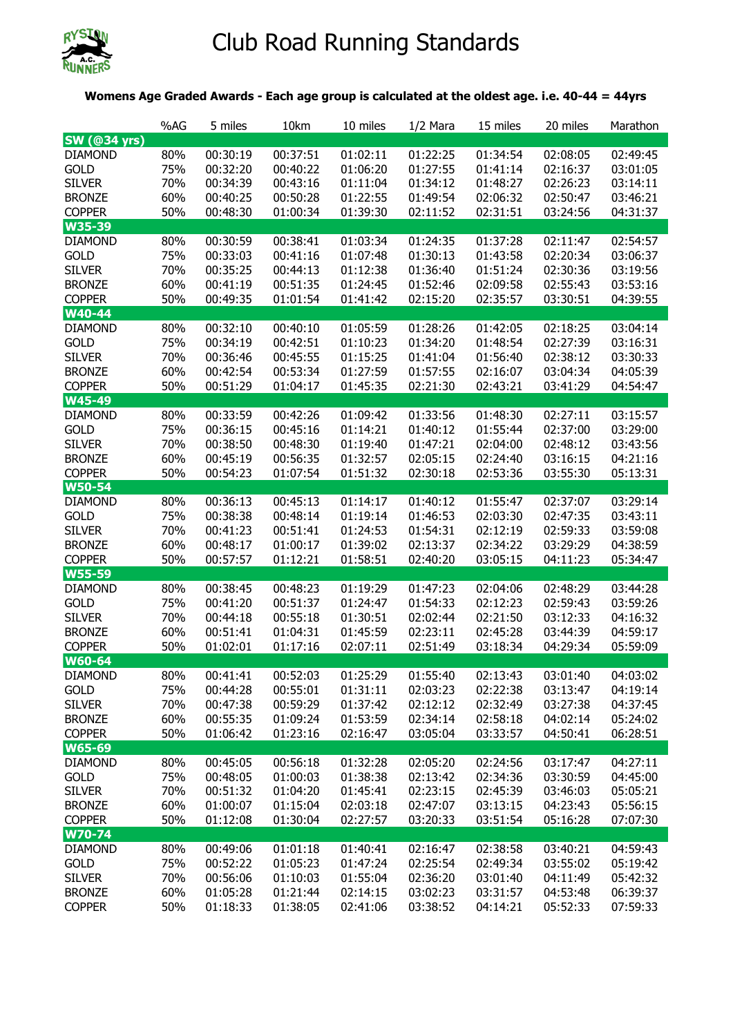

## Club Road Running Standards

## **Womens Age Graded Awards - Each age group is calculated at the oldest age. i.e. 40-44 = 44yrs**

|                                | %AG        | 5 miles              | 10km                 | 10 miles             | $1/2$ Mara           | 15 miles             | 20 miles             | Marathon             |
|--------------------------------|------------|----------------------|----------------------|----------------------|----------------------|----------------------|----------------------|----------------------|
| <b>SW (@34 yrs)</b>            |            |                      |                      |                      |                      |                      |                      |                      |
| <b>DIAMOND</b>                 | 80%        | 00:30:19             | 00:37:51             | 01:02:11             | 01:22:25             | 01:34:54             | 02:08:05             | 02:49:45             |
| <b>GOLD</b>                    | 75%        | 00:32:20             | 00:40:22             | 01:06:20             | 01:27:55             | 01:41:14             | 02:16:37             | 03:01:05             |
| <b>SILVER</b>                  | 70%        | 00:34:39             | 00:43:16             | 01:11:04             | 01:34:12             | 01:48:27             | 02:26:23             | 03:14:11             |
| <b>BRONZE</b>                  | 60%        | 00:40:25             | 00:50:28             | 01:22:55             | 01:49:54             | 02:06:32             | 02:50:47             | 03:46:21             |
| <b>COPPER</b>                  | 50%        | 00:48:30             | 01:00:34             | 01:39:30             | 02:11:52             | 02:31:51             | 03:24:56             | 04:31:37             |
| W35-39                         |            |                      |                      |                      |                      |                      |                      |                      |
| <b>DIAMOND</b>                 | 80%        | 00:30:59             | 00:38:41             | 01:03:34             | 01:24:35             | 01:37:28             | 02:11:47             | 02:54:57             |
| <b>GOLD</b>                    | 75%        | 00:33:03             | 00:41:16             | 01:07:48             | 01:30:13             | 01:43:58             | 02:20:34             | 03:06:37             |
| <b>SILVER</b>                  | 70%        | 00:35:25             | 00:44:13             | 01:12:38             | 01:36:40             | 01:51:24             | 02:30:36             | 03:19:56             |
| <b>BRONZE</b>                  | 60%        | 00:41:19             | 00:51:35             | 01:24:45             | 01:52:46             | 02:09:58             | 02:55:43             | 03:53:16             |
| <b>COPPER</b>                  | 50%        | 00:49:35             | 01:01:54             | 01:41:42             | 02:15:20             | 02:35:57             | 03:30:51             | 04:39:55             |
| W40-44                         |            |                      |                      |                      |                      |                      |                      |                      |
| <b>DIAMOND</b>                 | 80%        | 00:32:10             | 00:40:10             | 01:05:59             | 01:28:26             | 01:42:05             | 02:18:25             | 03:04:14             |
| <b>GOLD</b>                    | 75%        | 00:34:19             | 00:42:51             | 01:10:23             | 01:34:20             | 01:48:54             | 02:27:39             | 03:16:31             |
| <b>SILVER</b>                  | 70%        | 00:36:46             | 00:45:55             | 01:15:25             | 01:41:04             | 01:56:40             | 02:38:12             | 03:30:33             |
| <b>BRONZE</b>                  | 60%        | 00:42:54             | 00:53:34             | 01:27:59             | 01:57:55             | 02:16:07             | 03:04:34             | 04:05:39             |
| <b>COPPER</b>                  | 50%        | 00:51:29             | 01:04:17             | 01:45:35             | 02:21:30             | 02:43:21             | 03:41:29             | 04:54:47             |
| W45-49                         |            |                      |                      |                      |                      |                      |                      |                      |
| <b>DIAMOND</b>                 | 80%        | 00:33:59             | 00:42:26             | 01:09:42             | 01:33:56             | 01:48:30             | 02:27:11             | 03:15:57             |
| <b>GOLD</b>                    | 75%        | 00:36:15             | 00:45:16             | 01:14:21             | 01:40:12             | 01:55:44             | 02:37:00             | 03:29:00             |
| <b>SILVER</b>                  | 70%        | 00:38:50             | 00:48:30             | 01:19:40             | 01:47:21             | 02:04:00             | 02:48:12             | 03:43:56             |
| <b>BRONZE</b>                  | 60%        | 00:45:19             | 00:56:35             | 01:32:57             | 02:05:15             | 02:24:40             | 03:16:15             | 04:21:16             |
| <b>COPPER</b>                  | 50%        | 00:54:23             | 01:07:54             | 01:51:32             | 02:30:18             | 02:53:36             | 03:55:30             | 05:13:31             |
| <b>W50-54</b>                  |            |                      |                      |                      |                      |                      |                      |                      |
| <b>DIAMOND</b>                 | 80%        | 00:36:13             | 00:45:13             | 01:14:17             | 01:40:12             | 01:55:47             | 02:37:07             | 03:29:14             |
| <b>GOLD</b>                    | 75%        | 00:38:38             | 00:48:14             | 01:19:14             | 01:46:53             | 02:03:30             | 02:47:35             | 03:43:11             |
| <b>SILVER</b>                  | 70%        | 00:41:23             | 00:51:41             | 01:24:53             | 01:54:31             | 02:12:19             | 02:59:33             | 03:59:08             |
| <b>BRONZE</b>                  | 60%        | 00:48:17             | 01:00:17             | 01:39:02             | 02:13:37             | 02:34:22             | 03:29:29             | 04:38:59             |
| <b>COPPER</b>                  | 50%        | 00:57:57             | 01:12:21             | 01:58:51             | 02:40:20             | 03:05:15             | 04:11:23             | 05:34:47             |
| <b>W55-59</b>                  |            |                      |                      |                      |                      |                      |                      |                      |
| <b>DIAMOND</b>                 | 80%        | 00:38:45<br>00:41:20 | 00:48:23<br>00:51:37 | 01:19:29<br>01:24:47 | 01:47:23<br>01:54:33 | 02:04:06<br>02:12:23 | 02:48:29<br>02:59:43 | 03:44:28<br>03:59:26 |
| <b>GOLD</b>                    | 75%        |                      |                      |                      |                      | 02:21:50             | 03:12:33             |                      |
| <b>SILVER</b><br><b>BRONZE</b> | 70%<br>60% | 00:44:18<br>00:51:41 | 00:55:18<br>01:04:31 | 01:30:51<br>01:45:59 | 02:02:44<br>02:23:11 | 02:45:28             | 03:44:39             | 04:16:32<br>04:59:17 |
| <b>COPPER</b>                  | 50%        | 01:02:01             | 01:17:16             | 02:07:11             | 02:51:49             | 03:18:34             | 04:29:34             | 05:59:09             |
| <b>W60-64</b>                  |            |                      |                      |                      |                      |                      |                      |                      |
| <b>DIAMOND</b>                 | 80%        | 00:41:41             | 00:52:03             | 01:25:29             | 01:55:40             | 02:13:43             | 03:01:40             | 04:03:02             |
| <b>GOLD</b>                    | 75%        | 00:44:28             | 00:55:01             | 01:31:11             | 02:03:23             | 02:22:38             | 03:13:47             | 04:19:14             |
| <b>SILVER</b>                  | 70%        | 00:47:38             | 00:59:29             | 01:37:42             | 02:12:12             | 02:32:49             | 03:27:38             | 04:37:45             |
| <b>BRONZE</b>                  | 60%        | 00:55:35             | 01:09:24             | 01:53:59             | 02:34:14             | 02:58:18             | 04:02:14             | 05:24:02             |
| <b>COPPER</b>                  | 50%        | 01:06:42             | 01:23:16             | 02:16:47             | 03:05:04             | 03:33:57             | 04:50:41             | 06:28:51             |
| W65-69                         |            |                      |                      |                      |                      |                      |                      |                      |
| <b>DIAMOND</b>                 | 80%        | 00:45:05             | 00:56:18             | 01:32:28             | 02:05:20             | 02:24:56             | 03:17:47             | 04:27:11             |
| <b>GOLD</b>                    | 75%        | 00:48:05             | 01:00:03             | 01:38:38             | 02:13:42             | 02:34:36             | 03:30:59             | 04:45:00             |
| <b>SILVER</b>                  | 70%        | 00:51:32             | 01:04:20             | 01:45:41             | 02:23:15             | 02:45:39             | 03:46:03             | 05:05:21             |
| <b>BRONZE</b>                  | 60%        | 01:00:07             | 01:15:04             | 02:03:18             | 02:47:07             | 03:13:15             | 04:23:43             | 05:56:15             |
| <b>COPPER</b>                  | 50%        | 01:12:08             | 01:30:04             | 02:27:57             | 03:20:33             | 03:51:54             | 05:16:28             | 07:07:30             |
| W70-74                         |            |                      |                      |                      |                      |                      |                      |                      |
| <b>DIAMOND</b>                 | 80%        | 00:49:06             | 01:01:18             | 01:40:41             | 02:16:47             | 02:38:58             | 03:40:21             | 04:59:43             |
| <b>GOLD</b>                    | 75%        | 00:52:22             | 01:05:23             | 01:47:24             | 02:25:54             | 02:49:34             | 03:55:02             | 05:19:42             |
| <b>SILVER</b>                  | 70%        | 00:56:06             | 01:10:03             | 01:55:04             | 02:36:20             | 03:01:40             | 04:11:49             | 05:42:32             |
| <b>BRONZE</b>                  | 60%        | 01:05:28             | 01:21:44             | 02:14:15             | 03:02:23             | 03:31:57             | 04:53:48             | 06:39:37             |
| <b>COPPER</b>                  | 50%        | 01:18:33             | 01:38:05             | 02:41:06             | 03:38:52             | 04:14:21             | 05:52:33             | 07:59:33             |